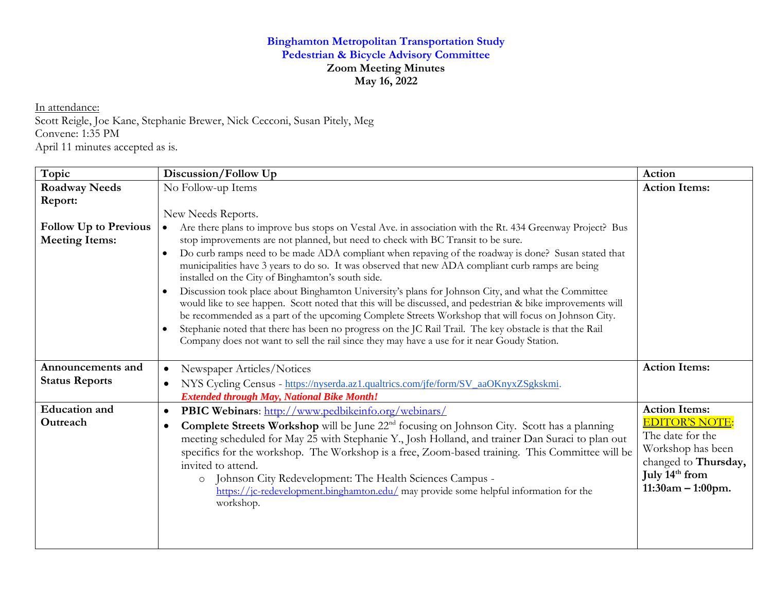## **Binghamton Metropolitan Transportation Study Pedestrian & Bicycle Advisory Committee Zoom Meeting Minutes May 16, 2022**

In attendance:

Scott Reigle, Joe Kane, Stephanie Brewer, Nick Cecconi, Susan Pitely, Meg Convene: 1:35 PM April 11 minutes accepted as is.

| Topic                                      | Discussion/Follow Up                                                                                                                                                                                                                                                                                                                                                                                                                                                                                                                                                                                                                                                                                                                                                                                                                                                                                                          | Action                                                                                                                                                              |
|--------------------------------------------|-------------------------------------------------------------------------------------------------------------------------------------------------------------------------------------------------------------------------------------------------------------------------------------------------------------------------------------------------------------------------------------------------------------------------------------------------------------------------------------------------------------------------------------------------------------------------------------------------------------------------------------------------------------------------------------------------------------------------------------------------------------------------------------------------------------------------------------------------------------------------------------------------------------------------------|---------------------------------------------------------------------------------------------------------------------------------------------------------------------|
| <b>Roadway Needs</b>                       | No Follow-up Items                                                                                                                                                                                                                                                                                                                                                                                                                                                                                                                                                                                                                                                                                                                                                                                                                                                                                                            | <b>Action Items:</b>                                                                                                                                                |
| Report:<br><b>Follow Up to Previous</b>    | New Needs Reports.<br>Are there plans to improve bus stops on Vestal Ave. in association with the Rt. 434 Greenway Project? Bus                                                                                                                                                                                                                                                                                                                                                                                                                                                                                                                                                                                                                                                                                                                                                                                               |                                                                                                                                                                     |
| <b>Meeting Items:</b>                      | stop improvements are not planned, but need to check with BC Transit to be sure.<br>Do curb ramps need to be made ADA compliant when repaving of the roadway is done? Susan stated that<br>$\bullet$<br>municipalities have 3 years to do so. It was observed that new ADA compliant curb ramps are being<br>installed on the City of Binghamton's south side.<br>Discussion took place about Binghamton University's plans for Johnson City, and what the Committee<br>$\bullet$<br>would like to see happen. Scott noted that this will be discussed, and pedestrian & bike improvements will<br>be recommended as a part of the upcoming Complete Streets Workshop that will focus on Johnson City.<br>Stephanie noted that there has been no progress on the JC Rail Trail. The key obstacle is that the Rail<br>$\bullet$<br>Company does not want to sell the rail since they may have a use for it near Goudy Station. |                                                                                                                                                                     |
| Announcements and<br><b>Status Reports</b> | Newspaper Articles/Notices<br>$\bullet$<br>NYS Cycling Census - https://nyserda.az1.qualtrics.com/jfe/form/SV_aaOKnyxZSgkskmi.<br>$\bullet$                                                                                                                                                                                                                                                                                                                                                                                                                                                                                                                                                                                                                                                                                                                                                                                   | <b>Action Items:</b>                                                                                                                                                |
| <b>Education</b> and<br>Outreach           | <b>Extended through May, National Bike Month!</b><br><b>PBIC Webinars:</b> http://www.pedbikeinfo.org/webinars/<br>$\bullet$<br>Complete Streets Workshop will be June 22 <sup>nd</sup> focusing on Johnson City. Scott has a planning<br>$\bullet$<br>meeting scheduled for May 25 with Stephanie Y., Josh Holland, and trainer Dan Suraci to plan out<br>specifics for the workshop. The Workshop is a free, Zoom-based training. This Committee will be<br>invited to attend.<br>Johnson City Redevelopment: The Health Sciences Campus -<br>$\circ$<br>https://jc-redevelopment.binghamton.edu/ may provide some helpful information for the<br>workshop.                                                                                                                                                                                                                                                                 | <b>Action Items:</b><br><b>EDITOR'S NOTE:</b><br>The date for the<br>Workshop has been<br>changed to Thursday,<br>July 14 <sup>th</sup> from<br>$11:30am - 1:00pm.$ |